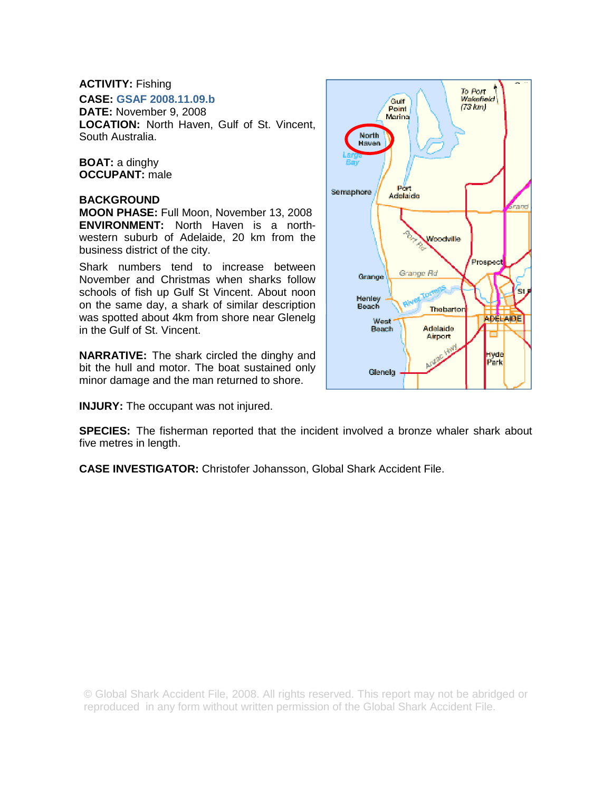## **ACTIVITY:** Fishing

**CASE: GSAF 2008.11.09.b**

**DATE:** November 9, 2008 **LOCATION:** North Haven, Gulf of St. Vincent, South Australia.

**BOAT:** a dinghy **OCCUPANT:** male

## **BACKGROUND**

**MOON PHASE:** Full Moon, November 13, 2008 **ENVIRONMENT:** North Haven is a northwestern suburb of Adelaide, 20 km from the business district of the city.

Shark numbers tend to increase between November and Christmas when sharks follow schools of fish up Gulf St Vincent. About noon on the same day, a shark of similar description was spotted about 4km from shore near Glenelg in the Gulf of St. Vincent.

**NARRATIVE:** The shark circled the dinghy and bit the hull and motor. The boat sustained only minor damage and the man returned to shore.

**INJURY:** The occupant was not injured.



**SPECIES:** The fisherman reported that the incident involved a bronze whaler shark about five metres in length.

**CASE INVESTIGATOR:** Christofer Johansson, Global Shark Accident File.